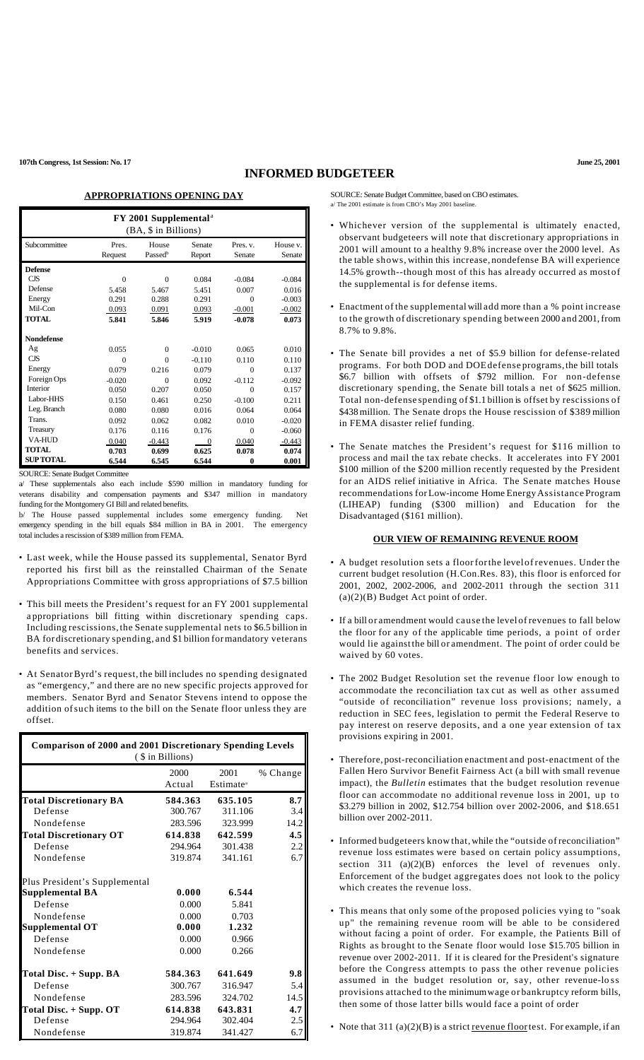# **INFORMED BUDGETEER**

### **APPROPRIATIONS OPENING DAY**

| FY 2001 Supplemental <sup>a</sup><br>(BA, \$ in Billions) |          |                     |          |          |          |  |
|-----------------------------------------------------------|----------|---------------------|----------|----------|----------|--|
| Subcommittee                                              | Pres.    | House               | Senate   | Pres. v. | House v. |  |
|                                                           | Request  | Passed <sup>b</sup> | Report   | Senate   | Senate   |  |
| <b>Defense</b>                                            |          |                     |          |          |          |  |
| <b>CJS</b>                                                | $\Omega$ | $\theta$            | 0.084    | $-0.084$ | $-0.084$ |  |
| Defense                                                   | 5.458    | 5.467               | 5.451    | 0.007    | 0.016    |  |
| Energy                                                    | 0.291    | 0.288               | 0.291    | $\Omega$ | $-0.003$ |  |
| Mil-Con                                                   | 0.093    | 0.091               | 0.093    | $-0.001$ | $-0.002$ |  |
| <b>TOTAL</b>                                              | 5.841    | 5.846               | 5.919    | $-0.078$ | 0.073    |  |
| <b>Nondefense</b>                                         |          |                     |          |          |          |  |
| Ag                                                        | 0.055    | $\Omega$            | $-0.010$ | 0.065    | 0.010    |  |
| <b>CJS</b>                                                | $\Omega$ | $\Omega$            | $-0.110$ | 0.110    | 0.110    |  |
| Energy                                                    | 0.079    | 0.216               | 0.079    | $\Omega$ | 0.137    |  |
| Foreign Ops                                               | $-0.020$ | $\Omega$            | 0.092    | $-0.112$ | $-0.092$ |  |
| Interior                                                  | 0.050    | 0.207               | 0.050    | $\Omega$ | 0.157    |  |
| Labor-HHS                                                 | 0.150    | 0.461               | 0.250    | $-0.100$ | 0.211    |  |
| Leg. Branch                                               | 0.080    | 0.080               | 0.016    | 0.064    | 0.064    |  |
| Trans.                                                    | 0.092    | 0.062               | 0.082    | 0.010    | $-0.020$ |  |
| Treasury                                                  | 0.176    | 0.116               | 0.176    | $\Omega$ | $-0.060$ |  |
| <b>VA-HUD</b>                                             | 0.040    | $-0.443$            | $\theta$ | 0.040    | $-0.443$ |  |
| <b>TOTAL</b>                                              | 0.703    | 0.699               | 0.625    | 0.078    | 0.074    |  |
| <b>SUP TOTAL</b>                                          | 6.544    | 6.545               | 6.544    | 0        | 0.001    |  |

SOURCE: Senate Budget Committee

a/ These supplementals also each include \$590 million in mandatory funding for veterans disability and compensation payments and \$347 million in mandatory funding for the Montgomery GI Bill and related benefits.

b/ The House passed supplemental includes some emergency funding. Net emergency spending in the bill equals \$84 million in BA in 2001. The emergency total includes a rescission of \$389 million from FEMA.

- Last week, while the House passed its supplemental, Senator Byrd reported his first bill as the reinstalled Chairman of the Senate Appropriations Committee with gross appropriations of \$7.5 billion
- This bill meets the President's request for an FY 2001 supplemental a ppropriations bill fitting within discretionary spending caps. Including rescissions, the Senate supplemental nets to \$6.5 billion in BA for discretionary spending, and \$1 billion formandatory veterans benefits and services.
- At SenatorByrd's request, the bill includes no spending designated as "emergency," and there are no new specific projects approved for members. Senator Byrd and Senator Stevens intend to oppose the addition ofsuch items to the bill on the Senate floor unless they are offset.

| <b>Comparison of 2000 and 2001 Discretionary Spending Levels</b><br>( \$ in Billions) |                |                               |          |  |  |  |
|---------------------------------------------------------------------------------------|----------------|-------------------------------|----------|--|--|--|
|                                                                                       | 2000<br>Actual | 2001<br>Estimate <sup>a</sup> | % Change |  |  |  |
| <b>Total Discretionary BA</b>                                                         | 584.363        | 635.105                       | 8.7      |  |  |  |
| Defense                                                                               | 300.767        | 311.106                       | 3.4      |  |  |  |
| Nondefense                                                                            | 283.596        | 323.999                       | 14.2     |  |  |  |
| <b>Total Discretionary OT</b>                                                         | 614.838        | 642.599                       | 4.5      |  |  |  |
| Defense                                                                               | 294.964        | 301.438                       | 2.2      |  |  |  |
| Nondefense                                                                            | 319.874        | 341.161                       | 6.7      |  |  |  |
| Plus President's Supplemental                                                         |                |                               |          |  |  |  |
| Supplemental BA                                                                       | 0.000          | 6.544                         |          |  |  |  |
| Defense                                                                               | 0.000          | 5.841                         |          |  |  |  |
| Nondefense                                                                            | 0.000          | 0.703                         |          |  |  |  |
| <b>Supplemental OT</b>                                                                | 0.000          | 1.232                         |          |  |  |  |
| Defense                                                                               | 0.000          | 0.966                         |          |  |  |  |
| Nondefense                                                                            | 0.000          | 0.266                         |          |  |  |  |
| Total Disc. + Supp. BA                                                                | 584.363        | 641.649                       | 9.8      |  |  |  |
| Defense                                                                               | 300.767        | 316.947                       | 5.4      |  |  |  |
| Nondefense                                                                            | 283.596        | 324.702                       | 14.5     |  |  |  |
| Total Disc. + Supp. OT                                                                | 614.838        | 643.831                       | 4.7      |  |  |  |
| Defense                                                                               | 294.964        | 302.404                       | 2.5      |  |  |  |
| Nondefense                                                                            | 319.874        | 341.427                       | 6.7      |  |  |  |

SOURCE: Senate Budget Committee, based on CBO estimates. a/ The 2001 estimate is from CBO's May 2001 baseline.

- Whichever version of the supplemental is ultimately enacted, observant budgeteers will note that discretionary appropriations in 2001 will amount to a healthy 9.8% increase over the 2000 level. As the table shows, within this increase, nondefense BA will experience 14.5% growth--though most of this has already occurred as most of the supplemental is for defense items.
- Enactment of the supplementalwill add more than a % point increase to the growth of discretionary spending between 2000 and 2001, from 8.7% to 9.8%.
- The Senate bill provides a net of \$5.9 billion for defense-related programs. For both DOD and DOEdefense programs,the bill totals \$6.7 billion with offsets of \$792 million. For non-defense discretionary spending, the Senate bill totals a net of \$625 million. Total non-defense spending of \$1.1 billion is offset by rescissions of \$438 million. The Senate drops the House rescission of \$389 million in FEMA disaster relief funding.
- The Senate matches the President's request for \$116 million to process and mail the tax rebate checks. It accelerates into FY 2001 \$100 million of the \$200 million recently requested by the President for an AIDS relief initiative in Africa. The Senate matches House recommendations forLow-income Home EnergyAssistance Program (LIHEAP) funding (\$300 million) and Education for the Disadvantaged (\$161 million).

#### **OUR VIEW OF REMAINING REVENUE ROOM**

- A budget resolution sets a floorforthe level of revenues. Under the current budget resolution (H.Con.Res. 83), this floor is enforced for 2001, 2002, 2002-2006, and 2002-2011 through the section 311 (a)(2)(B) Budget Act point of order.
- If a bill or amendment would cause the level of revenues to fall below the floor for any of the applicable time periods, a point of order would lie againstthe bill or amendment. The point of order could be waived by 60 votes.
- The 2002 Budget Resolution set the revenue floor low enough to accommodate the reconciliation tax cut as well as other assumed "outside of reconciliation" revenue loss provisions; namely, a reduction in SEC fees, legislation to permit the Federal Reserve to pay interest on reserve deposits, and a one year extension of tax provisions expiring in 2001.
- Therefore, post-reconciliation enactment and post-enactment of the Fallen Hero Survivor Benefit Fairness Act (a bill with small revenue impact), the *Bulletin* estimates that the budget resolution revenue floor can accommodate no additional revenue loss in 2001, up to \$3.279 billion in 2002, \$12.754 billion over 2002-2006, and \$18.651 billion over 2002-2011.
- Informed budgeteers know that, while the "outside of reconciliation" revenue loss estimates were based on certain policy assumptions, section 311 (a)(2)(B) enforces the level of revenues only. Enforcement of the budget aggregates does not look to the policy which creates the revenue loss.
- This means that only some ofthe proposed policies vying to "soak up" the remaining revenue room will be able to be considered without facing a point of order. For example, the Patients Bill of Rights as brought to the Senate floor would lose \$15.705 billion in revenue over 2002-2011. If it is cleared for the President's signature before the Congress attempts to pass the other revenue policies assumed in the budget resolution or, say, other revenue-lo ss provisions attached to the minimumwage or bankruptcy reform bills, then some of those latter bills would face a point of order
- Note that  $311$  (a)(2)(B) is a strict revenue floor test. For example, if an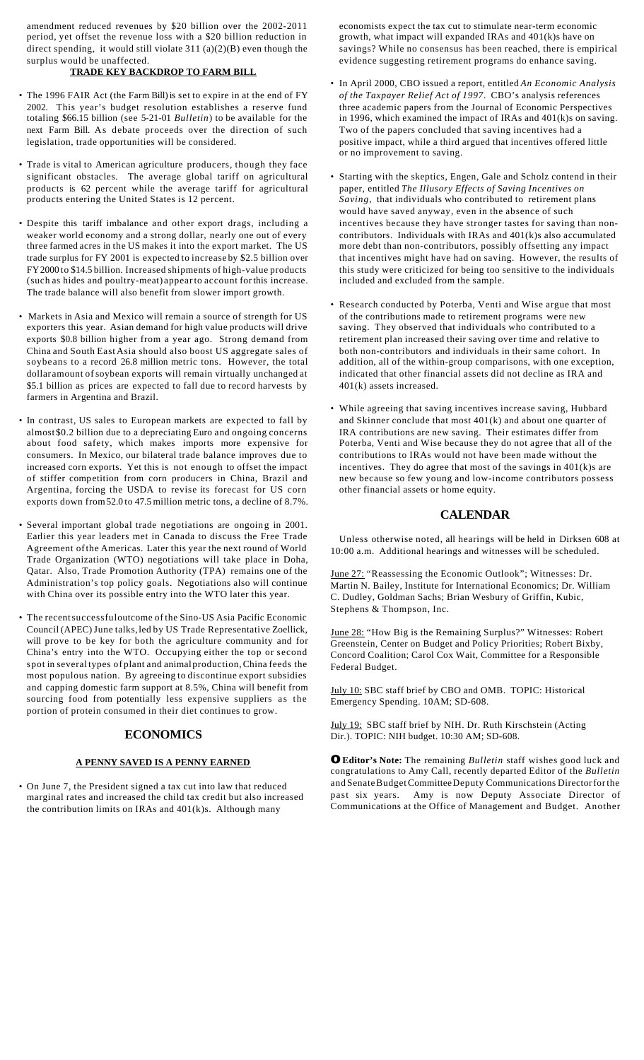amendment reduced revenues by \$20 billion over the 2002-2011 period, yet offset the revenue loss with a \$20 billion reduction in direct spending, it would still violate 311 (a)(2)(B) even though the surplus would be unaffected.

## **TRADE KEY BACKDROP TO FARM BILL**

- The 1996 FAIR Act (the Farm Bill) is set to expire in at the end of FY 2002. This year's budget resolution establishes a reserve fund totaling \$66.15 billion (see 5-21-01 *Bulletin*) to be available for the next Farm Bill. As debate proceeds over the direction of such legislation, trade opportunities will be considered.
- Trade is vital to American agriculture producers, though they face significant obstacles. The average global tariff on agricultural products is 62 percent while the average tariff for agricultural products entering the United States is 12 percent.
- Despite this tariff imbalance and other export drags, including a weaker world economy and a strong dollar, nearly one out of every three farmed acres in the US makes it into the export market. The US trade surplus for FY 2001 is expected to increase by \$2.5 billion over FY2000 to \$14.5 billion. Increased shipments of high-value products (such as hides and poultry-meat) appearto account forthis increase. The trade balance will also benefit from slower import growth.
- Markets in Asia and Mexico will remain a source of strength for US exporters this year. Asian demand for high value products will drive exports \$0.8 billion higher from a year ago. Strong demand from China and South East Asia should also boost US aggregate sales of soybeans to a record 26.8 million metric tons. However, the total dollar amount ofsoybean exports will remain virtually unchanged at \$5.1 billion as prices are expected to fall due to record harvests by farmers in Argentina and Brazil.
- In contrast, US sales to European markets are expected to fall by almost \$0.2 billion due to a depreciating Euro and ongoing concerns about food safety, which makes imports more expensive for consumers. In Mexico, our bilateral trade balance improves due to increased corn exports. Yet this is not enough to offset the impact of stiffer competition from corn producers in China, Brazil and Argentina, forcing the USDA to revise its forecast for US corn exports down from52.0 to 47.5 million metric tons, a decline of 8.7%.
- Several important global trade negotiations are ongoing in 2001. Earlier this year leaders met in Canada to discuss the Free Trade Agreement ofthe Americas. Later this year the next round of World Trade Organization (WTO) negotiations will take place in Doha, Qatar. Also, Trade Promotion Authority (TPA) remains one of the Administration's top policy goals. Negotiations also will continue with China over its possible entry into the WTO later this year.
- The recentsuccessfuloutcome of the Sino-US Asia Pacific Economic Council (APEC)June talks,led by US Trade Representative Zoellick, will prove to be key for both the agriculture community and for China's entry into the WTO. Occupying either the top or second spot in several types of plant and animalproduction,China feeds the most populous nation. By agreeing to discontinue export subsidies and capping domestic farm support at 8.5%, China will benefit from sourcing food from potentially less expensive suppliers as the portion of protein consumed in their diet continues to grow.

### **ECONOMICS**

### **A PENNY SAVED IS A PENNY EARNED**

• On June 7, the President signed a tax cut into law that reduced marginal rates and increased the child tax credit but also increased the contribution limits on IRAs and  $401(k)s$ . Although many

economists expect the tax cut to stimulate near-term economic growth, what impact will expanded IRAs and 401(k)s have on savings? While no consensus has been reached, there is empirical evidence suggesting retirement programs do enhance saving.

- In April 2000, CBO issued a report, entitled *An Economic Analysis of the Taxpayer Relief Act of 1997*. CBO's analysis references three academic papers from the Journal of Economic Perspectives in 1996, which examined the impact of IRAs and 401(k)s on saving. Two of the papers concluded that saving incentives had a positive impact, while a third argued that incentives offered little or no improvement to saving.
- Starting with the skeptics, Engen, Gale and Scholz contend in their paper, entitled *The Illusory Effects of Saving Incentives on Saving*, that individuals who contributed to retirement plans would have saved anyway, even in the absence of such incentives because they have stronger tastes for saving than noncontributors. Individuals with IRAs and 401(k)s also accumulated more debt than non-contributors, possibly offsetting any impact that incentives might have had on saving. However, the results of this study were criticized for being too sensitive to the individuals included and excluded from the sample.
- Research conducted by Poterba, Venti and Wise argue that most of the contributions made to retirement programs were new saving. They observed that individuals who contributed to a retirement plan increased their saving over time and relative to both non-contributors and individuals in their same cohort. In addition, all of the within-group comparisons, with one exception, indicated that other financial assets did not decline as IRA and 401(k) assets increased.
- While agreeing that saving incentives increase saving, Hubbard and Skinner conclude that most 401(k) and about one quarter of IRA contributions are new saving. Their estimates differ from Poterba, Venti and Wise because they do not agree that all of the contributions to IRAs would not have been made without the incentives. They do agree that most of the savings in  $401(k)$ s are new because so few young and low-income contributors possess other financial assets or home equity.

### **CALENDAR**

Unless otherwise noted, all hearings will be held in Dirksen 608 at 10:00 a.m. Additional hearings and witnesses will be scheduled.

June 27: "Reassessing the Economic Outlook"; Witnesses: Dr. Martin N. Bailey, Institute for International Economics; Dr. William C. Dudley, Goldman Sachs; Brian Wesbury of Griffin, Kubic, Stephens & Thompson, Inc.

June 28: "How Big is the Remaining Surplus?" Witnesses: Robert Greenstein, Center on Budget and Policy Priorities; Robert Bixby, Concord Coalition; Carol Cox Wait, Committee for a Responsible Federal Budget.

July 10: SBC staff brief by CBO and OMB. TOPIC: Historical Emergency Spending. 10AM; SD-608.

July 19: SBC staff brief by NIH. Dr. Ruth Kirschstein (Acting Dir.). TOPIC: NIH budget. 10:30 AM; SD-608.

**OEditor's Note:** The remaining *Bulletin* staff wishes good luck and congratulations to Amy Call, recently departed Editor of the *Bulletin* and Senate Budget Committee Deputy Communications Director for the past six years. Amy is now Deputy Associate Director of Communications at the Office of Management and Budget. Another